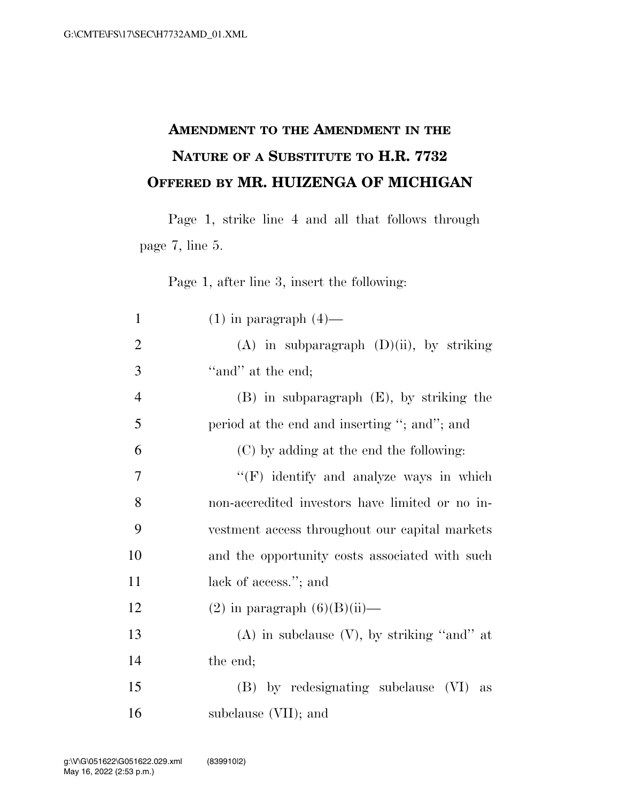## **AMENDMENT TO THE AMENDMENT IN THE NATURE OF A SUBSTITUTE TO H.R. 7732 OFFERED BY MR. HUIZENGA OF MICHIGAN**

Page 1, strike line 4 and all that follows through page 7, line 5.

Page 1, after line 3, insert the following:

| $\mathbf{1}$   | $(1)$ in paragraph $(4)$ —                      |
|----------------|-------------------------------------------------|
| $\overline{2}$ | $(A)$ in subparagraph $(D)(ii)$ , by striking   |
| 3              | "and" at the end;                               |
| $\overline{4}$ | $(B)$ in subparagraph $(E)$ , by striking the   |
| 5              | period at the end and inserting "; and"; and    |
| 6              | (C) by adding at the end the following:         |
| $\overline{7}$ | "(F) identify and analyze ways in which         |
| 8              | non-accredited investors have limited or no in- |
| 9              | vestment access throughout our capital markets  |
| 10             | and the opportunity costs associated with such  |
| 11             | lack of access."; and                           |
| 12             | $(2)$ in paragraph $(6)(B)(ii)$ —               |
| 13             | $(A)$ in subclause $(V)$ , by striking "and" at |
| 14             | the end;                                        |
| 15             | (B) by redesignating subclause (VI) as          |
| 16             | subclause (VII); and                            |